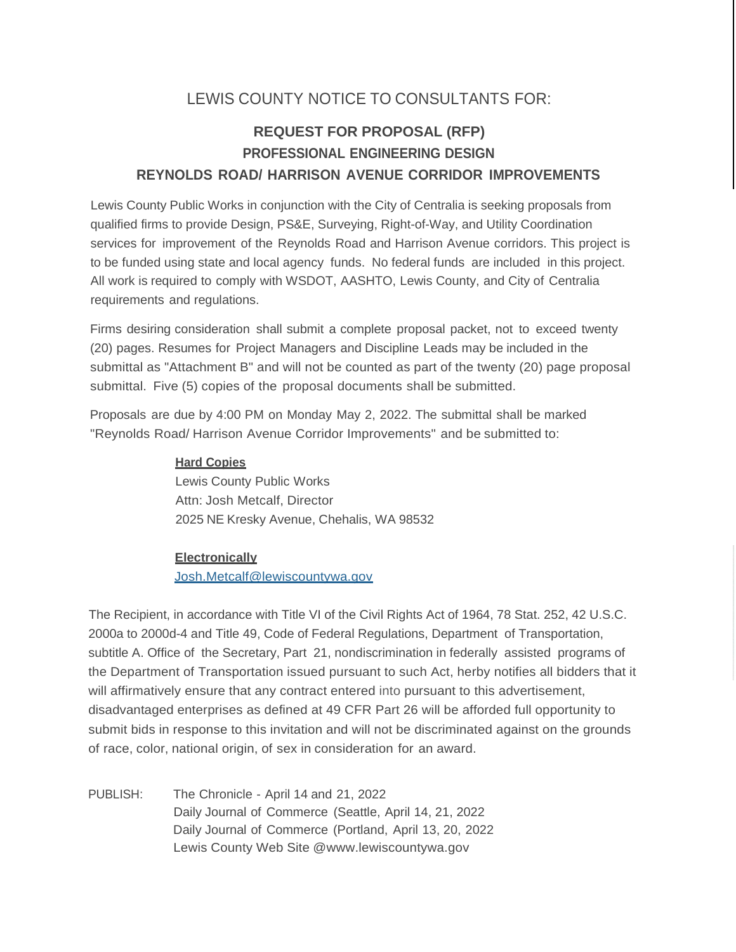## LEWIS COUNTY NOTICE TO CONSULTANTS FOR:

# **REQUEST FOR PROPOSAL (RFP) PROFESSIONAL ENGINEERING DESIGN REYNOLDS ROAD/ HARRISON AVENUE CORRIDOR IMPROVEMENTS**

Lewis County Public Works in conjunction with the City of Centralia is seeking proposals from qualified firms to provide Design, PS&E, Surveying, Right-of-Way, and Utility Coordination services for improvement of the Reynolds Road and Harrison Avenue corridors. This project is to be funded using state and local agency funds. No federal funds are included in this project. All work is required to comply with WSDOT, AASHTO, Lewis County, and City of Centralia requirements and regulations.

Firms desiring consideration shall submit a complete proposal packet, not to exceed twenty (20) pages. Resumes for Project Managers and Discipline Leads may be included in the submittal as "Attachment B" and will not be counted as part of the twenty (20) page proposal submittal. Five (5) copies of the proposal documents shall be submitted.

Proposals are due by 4:00 PM on Monday May 2, 2022. The submittal shall be marked "Reynolds Road/ Harrison Avenue Corridor Improvements" and be submitted to:

### **Hard Copies**

Lewis County Public Works Attn: Josh Metcalf, Director 2025 NE Kresky Avenue, Chehalis, WA 98532

#### **Electronically**

[Josh.Metcalf@lewiscountywa.gov](mailto:Josh.Metcalf@lewiscountywa.gov)

The Recipient, in accordance with Title VI of the Civil Rights Act of 1964, 78 Stat. 252, 42 U.S.C. 2000a to 2000d-4 and Title 49, Code of Federal Regulations, Department of Transportation, subtitle A. Office of the Secretary, Part 21, nondiscrimination in federally assisted programs of the Department of Transportation issued pursuant to such Act, herby notifies all bidders that it will affirmatively ensure that any contract entered into pursuant to this advertisement, disadvantaged enterprises as defined at 49 CFR Part 26 will be afforded full opportunity to submit bids in response to this invitation and will not be discriminated against on the grounds of race, color, national origin, of sex in consideration for an award.

PUBLISH: The Chronicle - April 14 and 21, 2022 Daily Journal of Commerce (Seattle, April 14, 21, 2022 Daily Journal of Commerce (Portland, April 13, 20, 2022 Lewis County Web Site [@www.lewiscountywa.gov](http://www.lewiscountywa.gov/)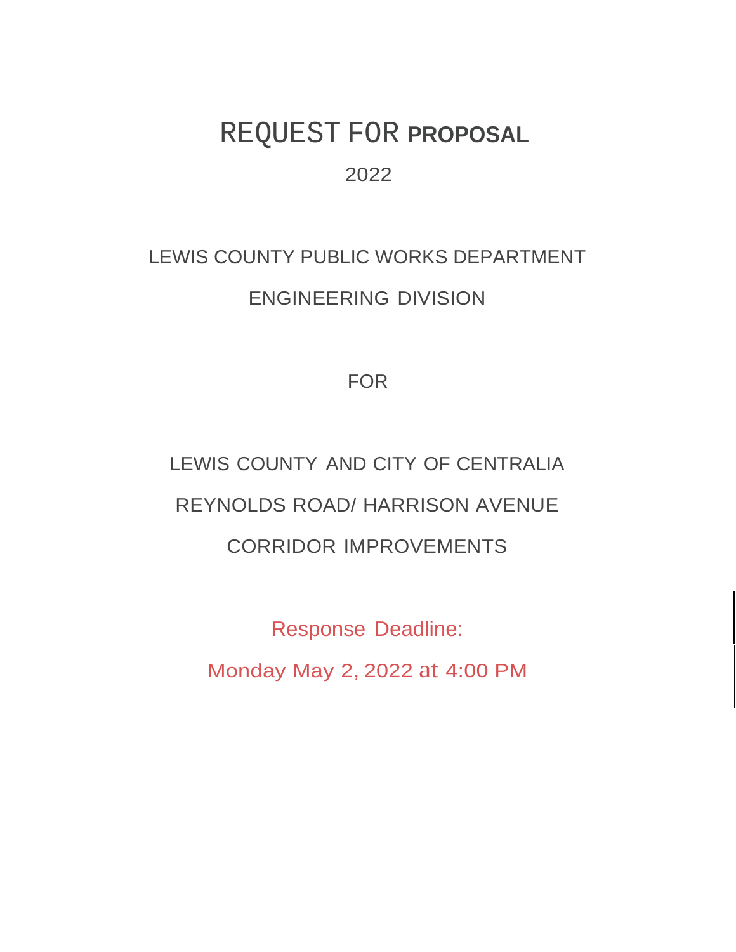# REQUEST FOR **PROPOSAL** 2022

# LEWIS COUNTY PUBLIC WORKS DEPARTMENT ENGINEERING DIVISION

FOR

LEWIS COUNTY AND CITY OF CENTRALIA REYNOLDS ROAD/ HARRISON AVENUE CORRIDOR IMPROVEMENTS

Response Deadline: Monday May 2, 2022 at 4:00 PM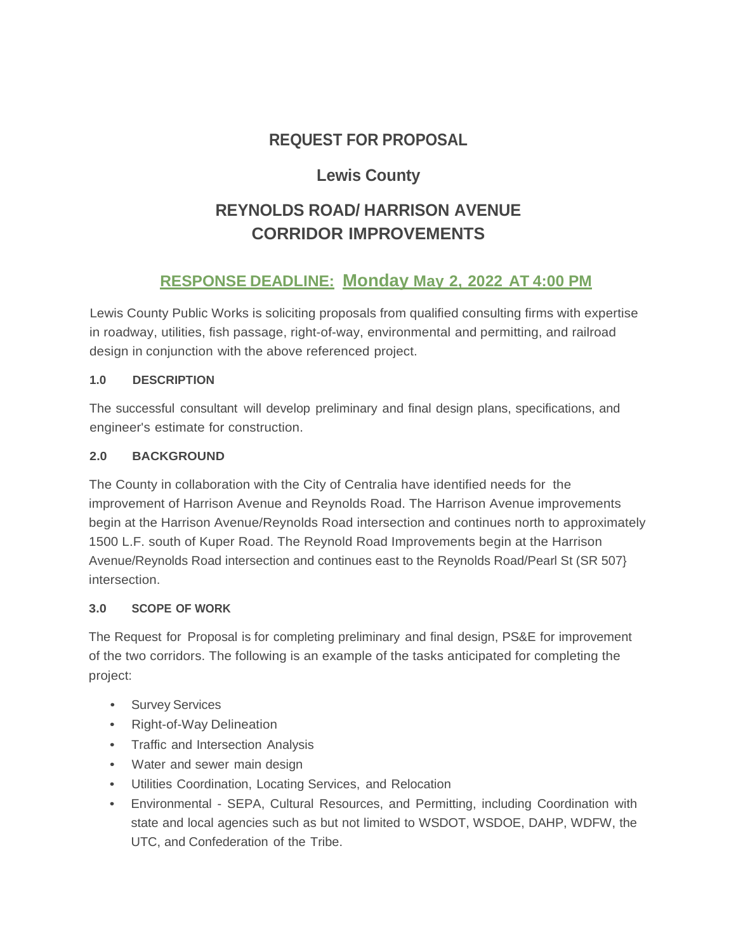# **REQUEST FOR PROPOSAL**

## **Lewis County**

# **REYNOLDS ROAD/ HARRISON AVENUE CORRIDOR IMPROVEMENTS**

### **RESPONSE DEADLINE: Monday May 2, 2022 AT 4:00 PM**

Lewis County Public Works is soliciting proposals from qualified consulting firms with expertise in roadway, utilities, fish passage, right-of-way, environmental and permitting, and railroad design in conjunction with the above referenced project.

### **1.0 DESCRIPTION**

The successful consultant will develop preliminary and final design plans, specifications, and engineer's estimate for construction.

### **2.0 BACKGROUND**

The County in collaboration with the City of Centralia have identified needs for the improvement of Harrison Avenue and Reynolds Road. The Harrison Avenue improvements begin at the Harrison Avenue/Reynolds Road intersection and continues north to approximately 1500 L.F. south of Kuper Road. The Reynold Road Improvements begin at the Harrison Avenue/Reynolds Road intersection and continues east to the Reynolds Road/Pearl St (SR 507} intersection.

### **3.0 SCOPE OF WORK**

The Request for Proposal is for completing preliminary and final design, PS&E for improvement of the two corridors. The following is an example of the tasks anticipated for completing the project:

- Survey Services
- Right-of-Way Delineation
- Traffic and Intersection Analysis
- Water and sewer main design
- Utilities Coordination, Locating Services, and Relocation
- Environmental SEPA, Cultural Resources, and Permitting, including Coordination with state and local agencies such as but not limited to WSDOT, WSDOE, DAHP, WDFW, the UTC, and Confederation of the Tribe.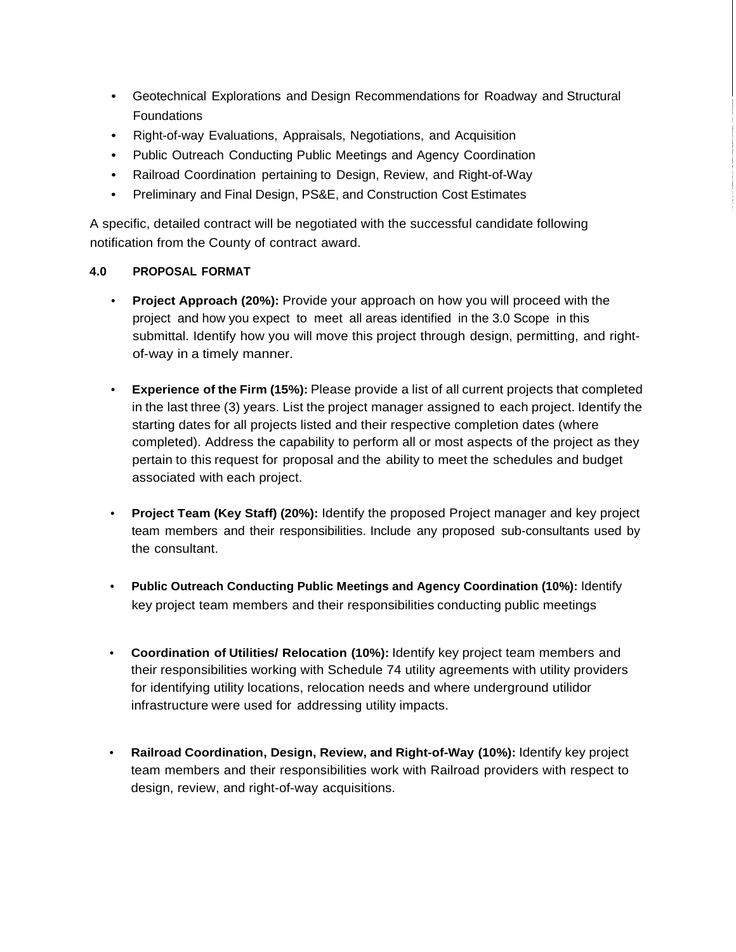- Geotechnical Explorations and Design Recommendations for Roadway and Structural Foundations
- Right-of-way Evaluations, Appraisals, Negotiations, and Acquisition
- Public Outreach Conducting Public Meetings and Agency Coordination
- Railroad Coordination pertaining to Design, Review, and Right-of-Way
- Preliminary and Final Design, PS&E, and Construction Cost Estimates

A specific, detailed contract will be negotiated with the successful candidate following notification from the County of contract award.

### **4.0 PROPOSAL FORMAT**

- **Project Approach (20%):** Provide your approach on how you will proceed with the project and how you expect to meet all areas identified in the 3.0 Scope in this submittal. Identify how you will move this project through design, permitting, and rightof-way in a timely manner.
- **Experience of the Firm (15%):** Please provide a list of all current projects that completed in the last three (3) years. List the project manager assigned to each project. Identify the starting dates for all projects listed and their respective completion dates (where completed). Address the capability to perform all or most aspects of the project as they pertain to this request for proposal and the ability to meet the schedules and budget associated with each project.
- **Project Team (Key Staff) (20%):** Identify the proposed Project manager and key project team members and their responsibilities. Include any proposed sub-consultants used by the consultant.
- **Public Outreach Conducting Public Meetings and Agency Coordination (10%):** Identify key project team members and their responsibilities conducting public meetings
- **Coordination of Utilities/ Relocation (10%):** Identify key project team members and their responsibilities working with Schedule 74 utility agreements with utility providers for identifying utility locations, relocation needs and where underground utilidor infrastructure were used for addressing utility impacts.
- **Railroad Coordination, Design, Review, and Right-of-Way (10%):** Identify key project team members and their responsibilities work with Railroad providers with respect to design, review, and right-of-way acquisitions.